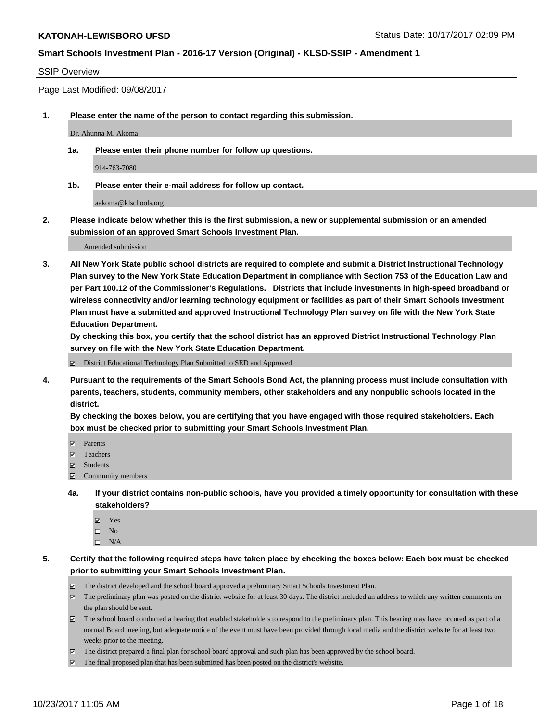#### SSIP Overview

Page Last Modified: 09/08/2017

**1. Please enter the name of the person to contact regarding this submission.**

Dr. Ahunna M. Akoma

**1a. Please enter their phone number for follow up questions.**

914-763-7080

**1b. Please enter their e-mail address for follow up contact.**

aakoma@klschools.org

**2. Please indicate below whether this is the first submission, a new or supplemental submission or an amended submission of an approved Smart Schools Investment Plan.**

Amended submission

**3. All New York State public school districts are required to complete and submit a District Instructional Technology Plan survey to the New York State Education Department in compliance with Section 753 of the Education Law and per Part 100.12 of the Commissioner's Regulations. Districts that include investments in high-speed broadband or wireless connectivity and/or learning technology equipment or facilities as part of their Smart Schools Investment Plan must have a submitted and approved Instructional Technology Plan survey on file with the New York State Education Department.** 

**By checking this box, you certify that the school district has an approved District Instructional Technology Plan survey on file with the New York State Education Department.**

District Educational Technology Plan Submitted to SED and Approved

**4. Pursuant to the requirements of the Smart Schools Bond Act, the planning process must include consultation with parents, teachers, students, community members, other stakeholders and any nonpublic schools located in the district.** 

**By checking the boxes below, you are certifying that you have engaged with those required stakeholders. Each box must be checked prior to submitting your Smart Schools Investment Plan.**

- **マ** Parents
- Teachers
- **☑** Students
- $\Xi$  Community members
- **4a. If your district contains non-public schools, have you provided a timely opportunity for consultation with these stakeholders?**
	- **Ø** Yes
	- $\square$  No
	- $\square$  N/A
- **5. Certify that the following required steps have taken place by checking the boxes below: Each box must be checked prior to submitting your Smart Schools Investment Plan.**
	- The district developed and the school board approved a preliminary Smart Schools Investment Plan.
	- The preliminary plan was posted on the district website for at least 30 days. The district included an address to which any written comments on the plan should be sent.
	- The school board conducted a hearing that enabled stakeholders to respond to the preliminary plan. This hearing may have occured as part of a normal Board meeting, but adequate notice of the event must have been provided through local media and the district website for at least two weeks prior to the meeting.
	- The district prepared a final plan for school board approval and such plan has been approved by the school board.
	- $\boxtimes$  The final proposed plan that has been submitted has been posted on the district's website.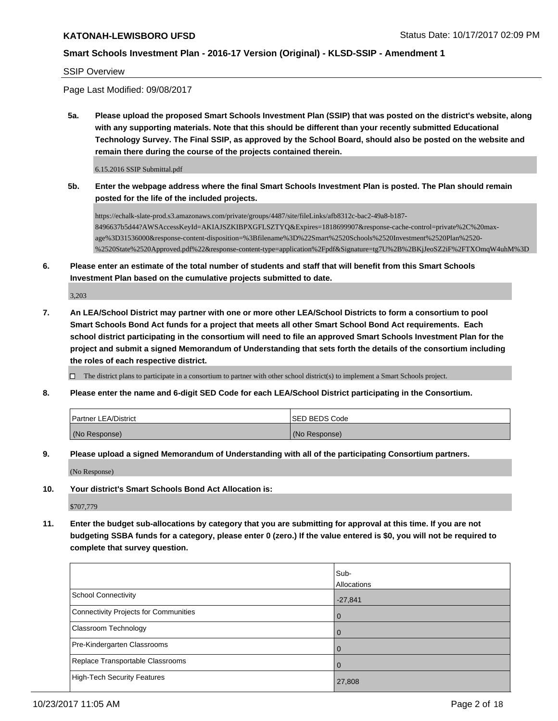SSIP Overview

Page Last Modified: 09/08/2017

**5a. Please upload the proposed Smart Schools Investment Plan (SSIP) that was posted on the district's website, along with any supporting materials. Note that this should be different than your recently submitted Educational Technology Survey. The Final SSIP, as approved by the School Board, should also be posted on the website and remain there during the course of the projects contained therein.**

6.15.2016 SSIP Submittal.pdf

**5b. Enter the webpage address where the final Smart Schools Investment Plan is posted. The Plan should remain posted for the life of the included projects.**

https://echalk-slate-prod.s3.amazonaws.com/private/groups/4487/site/fileLinks/afb8312c-bac2-49a8-b187- 8496637b5d44?AWSAccessKeyId=AKIAJSZKIBPXGFLSZTYQ&Expires=1818699907&response-cache-control=private%2C%20maxage%3D31536000&response-content-disposition=%3Bfilename%3D%22Smart%2520Schools%2520Investment%2520Plan%2520- %2520State%2520Approved.pdf%22&response-content-type=application%2Fpdf&Signature=tg7U%2B%2BKjJeoSZ2iF%2FTXOmqW4uhM%3D

**6. Please enter an estimate of the total number of students and staff that will benefit from this Smart Schools Investment Plan based on the cumulative projects submitted to date.**

3,203

**7. An LEA/School District may partner with one or more other LEA/School Districts to form a consortium to pool Smart Schools Bond Act funds for a project that meets all other Smart School Bond Act requirements. Each school district participating in the consortium will need to file an approved Smart Schools Investment Plan for the project and submit a signed Memorandum of Understanding that sets forth the details of the consortium including the roles of each respective district.**

 $\Box$  The district plans to participate in a consortium to partner with other school district(s) to implement a Smart Schools project.

**8. Please enter the name and 6-digit SED Code for each LEA/School District participating in the Consortium.**

| <b>Partner LEA/District</b> | <b>ISED BEDS Code</b> |
|-----------------------------|-----------------------|
| (No Response)               | (No Response)         |

**9. Please upload a signed Memorandum of Understanding with all of the participating Consortium partners.**

(No Response)

**10. Your district's Smart Schools Bond Act Allocation is:**

\$707,779

**11. Enter the budget sub-allocations by category that you are submitting for approval at this time. If you are not budgeting SSBA funds for a category, please enter 0 (zero.) If the value entered is \$0, you will not be required to complete that survey question.**

|                                       | Sub-<br>Allocations |
|---------------------------------------|---------------------|
| School Connectivity                   | $-27,841$           |
| Connectivity Projects for Communities | $\overline{0}$      |
| <b>Classroom Technology</b>           | $\Omega$            |
| Pre-Kindergarten Classrooms           | $\Omega$            |
| Replace Transportable Classrooms      | $\Omega$            |
| High-Tech Security Features           | 27,808              |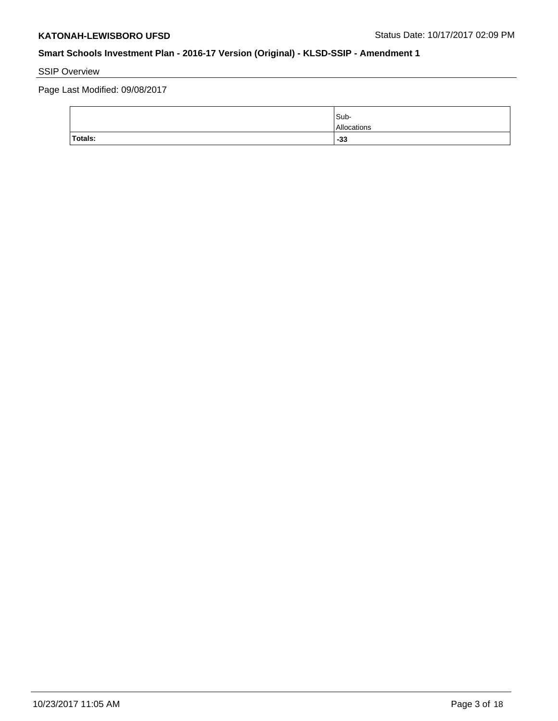# SSIP Overview

Page Last Modified: 09/08/2017

|                | Sub-<br>Allocations |
|----------------|---------------------|
| <b>Totals:</b> | $-33$               |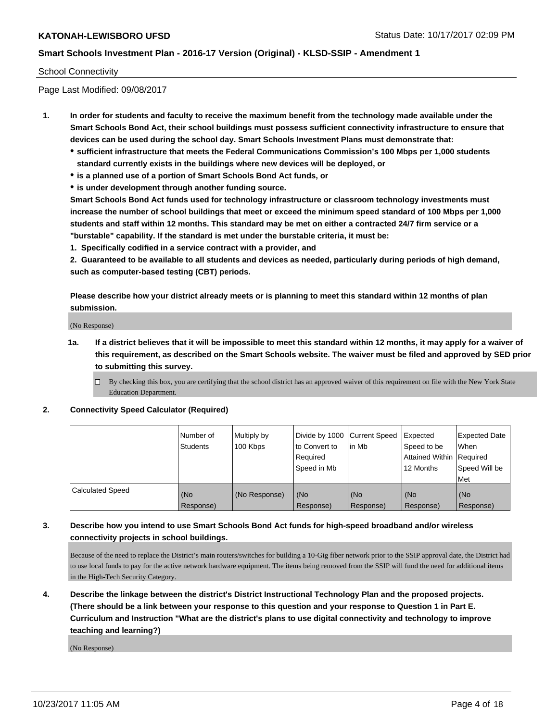### School Connectivity

Page Last Modified: 09/08/2017

- **1. In order for students and faculty to receive the maximum benefit from the technology made available under the Smart Schools Bond Act, their school buildings must possess sufficient connectivity infrastructure to ensure that devices can be used during the school day. Smart Schools Investment Plans must demonstrate that:**
	- **sufficient infrastructure that meets the Federal Communications Commission's 100 Mbps per 1,000 students standard currently exists in the buildings where new devices will be deployed, or**
	- **is a planned use of a portion of Smart Schools Bond Act funds, or**
	- **is under development through another funding source.**

**Smart Schools Bond Act funds used for technology infrastructure or classroom technology investments must increase the number of school buildings that meet or exceed the minimum speed standard of 100 Mbps per 1,000 students and staff within 12 months. This standard may be met on either a contracted 24/7 firm service or a "burstable" capability. If the standard is met under the burstable criteria, it must be:**

**1. Specifically codified in a service contract with a provider, and**

**2. Guaranteed to be available to all students and devices as needed, particularly during periods of high demand, such as computer-based testing (CBT) periods.**

**Please describe how your district already meets or is planning to meet this standard within 12 months of plan submission.**

(No Response)

**1a. If a district believes that it will be impossible to meet this standard within 12 months, it may apply for a waiver of this requirement, as described on the Smart Schools website. The waiver must be filed and approved by SED prior to submitting this survey.**

**2. Connectivity Speed Calculator (Required)**

|                         | Number of<br><b>Students</b> | Multiply by<br>100 Kbps | Divide by 1000   Current Speed<br>to Convert to<br>Required<br>Speed in Mb | lin Mb           | Expected<br>Speed to be<br><b>Attained Within Required</b><br>12 Months | <b>Expected Date</b><br>When<br>Speed Will be<br>Met |
|-------------------------|------------------------------|-------------------------|----------------------------------------------------------------------------|------------------|-------------------------------------------------------------------------|------------------------------------------------------|
| <b>Calculated Speed</b> | (No<br>Response)             | (No Response)           | (No<br>Response)                                                           | (No<br>Response) | (No<br>Response)                                                        | (No<br>Response)                                     |

## **3. Describe how you intend to use Smart Schools Bond Act funds for high-speed broadband and/or wireless connectivity projects in school buildings.**

Because of the need to replace the District's main routers/switches for building a 10-Gig fiber network prior to the SSIP approval date, the District had to use local funds to pay for the active network hardware equipment. The items being removed from the SSIP will fund the need for additional items in the High-Tech Security Category.

**4. Describe the linkage between the district's District Instructional Technology Plan and the proposed projects. (There should be a link between your response to this question and your response to Question 1 in Part E. Curriculum and Instruction "What are the district's plans to use digital connectivity and technology to improve teaching and learning?)**

(No Response)

 $\Box$  By checking this box, you are certifying that the school district has an approved waiver of this requirement on file with the New York State Education Department.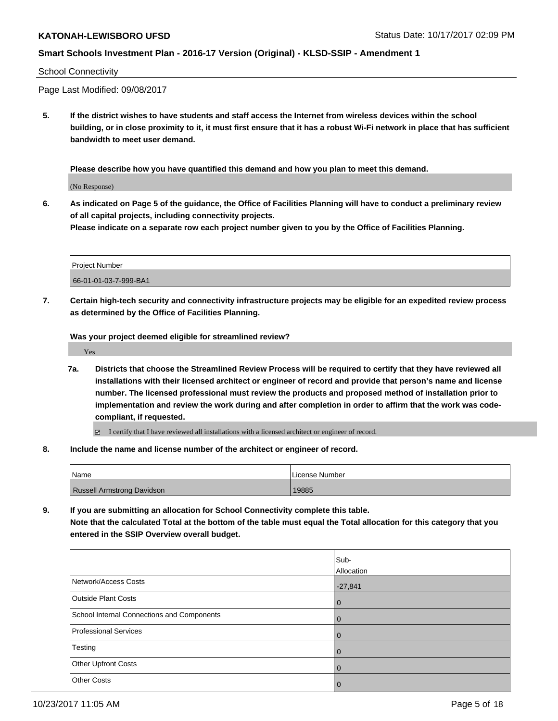#### School Connectivity

Page Last Modified: 09/08/2017

**5. If the district wishes to have students and staff access the Internet from wireless devices within the school building, or in close proximity to it, it must first ensure that it has a robust Wi-Fi network in place that has sufficient bandwidth to meet user demand.**

**Please describe how you have quantified this demand and how you plan to meet this demand.**

(No Response)

**6. As indicated on Page 5 of the guidance, the Office of Facilities Planning will have to conduct a preliminary review of all capital projects, including connectivity projects.**

**Please indicate on a separate row each project number given to you by the Office of Facilities Planning.**

| <b>Project Number</b> |  |
|-----------------------|--|
| 66-01-01-03-7-999-BA1 |  |

**7. Certain high-tech security and connectivity infrastructure projects may be eligible for an expedited review process as determined by the Office of Facilities Planning.**

**Was your project deemed eligible for streamlined review?**

Yes

- **7a. Districts that choose the Streamlined Review Process will be required to certify that they have reviewed all installations with their licensed architect or engineer of record and provide that person's name and license number. The licensed professional must review the products and proposed method of installation prior to implementation and review the work during and after completion in order to affirm that the work was codecompliant, if requested.**
	- $\Box$  I certify that I have reviewed all installations with a licensed architect or engineer of record.
- **8. Include the name and license number of the architect or engineer of record.**

| 'Name                             | License Number |
|-----------------------------------|----------------|
| <b>Russell Armstrong Davidson</b> | 19885          |

**9. If you are submitting an allocation for School Connectivity complete this table. Note that the calculated Total at the bottom of the table must equal the Total allocation for this category that you entered in the SSIP Overview overall budget.** 

|                                            | Sub-<br>Allocation |
|--------------------------------------------|--------------------|
| Network/Access Costs                       | $-27,841$          |
| <b>Outside Plant Costs</b>                 | l 0                |
| School Internal Connections and Components | $\overline{0}$     |
| <b>Professional Services</b>               | $\overline{0}$     |
| Testing                                    | $\overline{0}$     |
| Other Upfront Costs                        | $\Omega$           |
| <b>Other Costs</b>                         | $\overline{0}$     |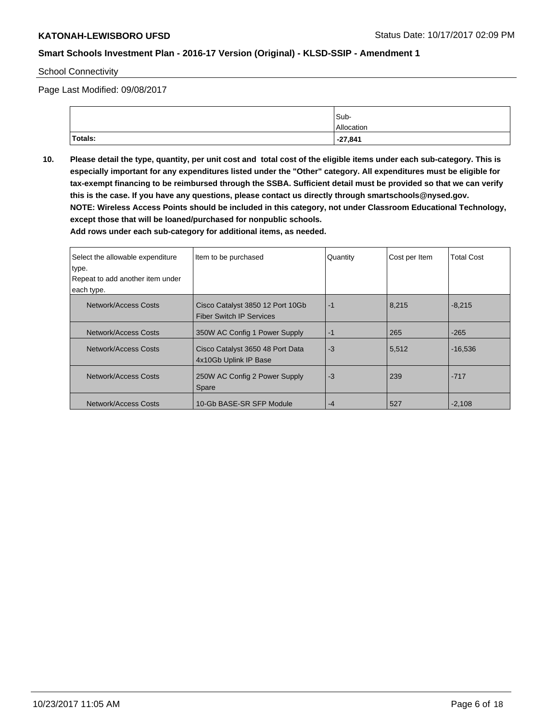#### School Connectivity

Page Last Modified: 09/08/2017

|                | Sub-       |
|----------------|------------|
|                | Allocation |
| <b>Totals:</b> | $-27,841$  |

**10. Please detail the type, quantity, per unit cost and total cost of the eligible items under each sub-category. This is especially important for any expenditures listed under the "Other" category. All expenditures must be eligible for tax-exempt financing to be reimbursed through the SSBA. Sufficient detail must be provided so that we can verify this is the case. If you have any questions, please contact us directly through smartschools@nysed.gov. NOTE: Wireless Access Points should be included in this category, not under Classroom Educational Technology, except those that will be loaned/purchased for nonpublic schools.**

| Select the allowable expenditure<br>type.<br>Repeat to add another item under<br>each type. | Item to be purchased                                                | Quantity | Cost per Item | <b>Total Cost</b> |
|---------------------------------------------------------------------------------------------|---------------------------------------------------------------------|----------|---------------|-------------------|
| Network/Access Costs                                                                        | Cisco Catalyst 3850 12 Port 10Gb<br><b>Fiber Switch IP Services</b> | $-1$     | 8,215         | $-8,215$          |
| Network/Access Costs                                                                        | 350W AC Config 1 Power Supply                                       | $-1$     | 265           | $-265$            |
| Network/Access Costs                                                                        | Cisco Catalyst 3650 48 Port Data<br>4x10Gb Uplink IP Base           | -3       | 5,512         | $-16,536$         |
| Network/Access Costs                                                                        | 250W AC Config 2 Power Supply<br>Spare                              | -3       | 239           | $-717$            |
| Network/Access Costs                                                                        | 10-Gb BASE-SR SFP Module                                            | -4       | 527           | $-2.108$          |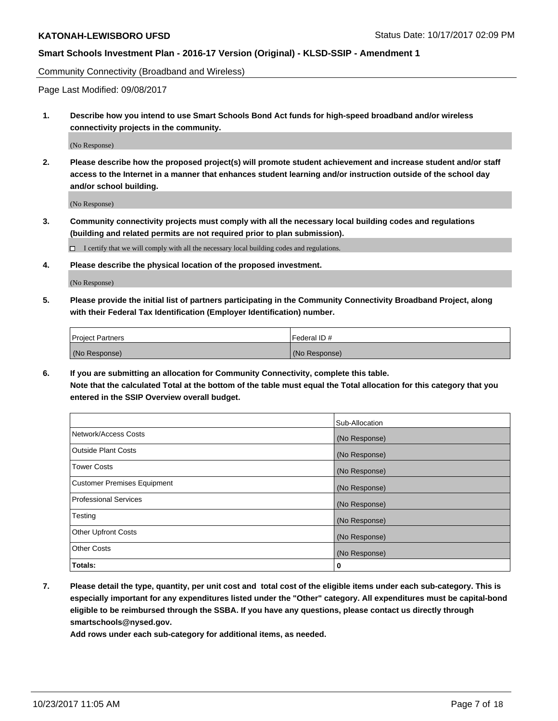Community Connectivity (Broadband and Wireless)

Page Last Modified: 09/08/2017

**1. Describe how you intend to use Smart Schools Bond Act funds for high-speed broadband and/or wireless connectivity projects in the community.**

(No Response)

**2. Please describe how the proposed project(s) will promote student achievement and increase student and/or staff access to the Internet in a manner that enhances student learning and/or instruction outside of the school day and/or school building.**

(No Response)

- **3. Community connectivity projects must comply with all the necessary local building codes and regulations (building and related permits are not required prior to plan submission).**
	- $\Box$  I certify that we will comply with all the necessary local building codes and regulations.
- **4. Please describe the physical location of the proposed investment.**

(No Response)

**5. Please provide the initial list of partners participating in the Community Connectivity Broadband Project, along with their Federal Tax Identification (Employer Identification) number.**

| <b>Project Partners</b> | l Federal ID # |
|-------------------------|----------------|
| (No Response)           | (No Response)  |

**6. If you are submitting an allocation for Community Connectivity, complete this table. Note that the calculated Total at the bottom of the table must equal the Total allocation for this category that you entered in the SSIP Overview overall budget.**

|                                    | Sub-Allocation |
|------------------------------------|----------------|
| Network/Access Costs               | (No Response)  |
| <b>Outside Plant Costs</b>         | (No Response)  |
| <b>Tower Costs</b>                 | (No Response)  |
| <b>Customer Premises Equipment</b> | (No Response)  |
| <b>Professional Services</b>       | (No Response)  |
| Testing                            | (No Response)  |
| <b>Other Upfront Costs</b>         | (No Response)  |
| <b>Other Costs</b>                 | (No Response)  |
| Totals:                            | 0              |

**7. Please detail the type, quantity, per unit cost and total cost of the eligible items under each sub-category. This is especially important for any expenditures listed under the "Other" category. All expenditures must be capital-bond eligible to be reimbursed through the SSBA. If you have any questions, please contact us directly through smartschools@nysed.gov.**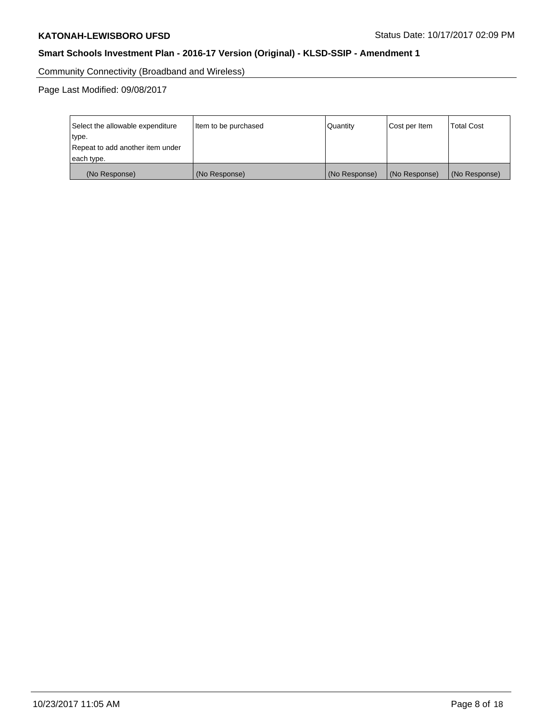Community Connectivity (Broadband and Wireless)

Page Last Modified: 09/08/2017

| Select the allowable expenditure<br>type.<br>Repeat to add another item under | Item to be purchased | Quantity      | Cost per Item | <b>Total Cost</b> |
|-------------------------------------------------------------------------------|----------------------|---------------|---------------|-------------------|
| each type.                                                                    |                      |               |               |                   |
| (No Response)                                                                 | (No Response)        | (No Response) | (No Response) | (No Response)     |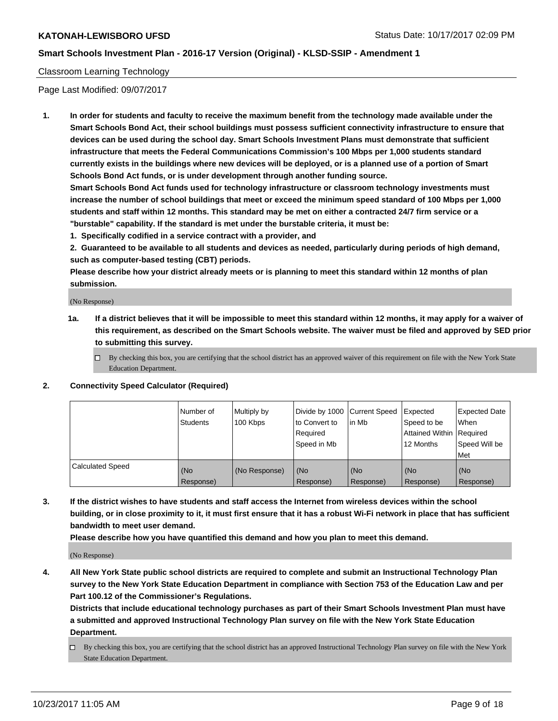## Classroom Learning Technology

Page Last Modified: 09/07/2017

**1. In order for students and faculty to receive the maximum benefit from the technology made available under the Smart Schools Bond Act, their school buildings must possess sufficient connectivity infrastructure to ensure that devices can be used during the school day. Smart Schools Investment Plans must demonstrate that sufficient infrastructure that meets the Federal Communications Commission's 100 Mbps per 1,000 students standard currently exists in the buildings where new devices will be deployed, or is a planned use of a portion of Smart Schools Bond Act funds, or is under development through another funding source.**

**Smart Schools Bond Act funds used for technology infrastructure or classroom technology investments must increase the number of school buildings that meet or exceed the minimum speed standard of 100 Mbps per 1,000 students and staff within 12 months. This standard may be met on either a contracted 24/7 firm service or a "burstable" capability. If the standard is met under the burstable criteria, it must be:**

**1. Specifically codified in a service contract with a provider, and**

**2. Guaranteed to be available to all students and devices as needed, particularly during periods of high demand, such as computer-based testing (CBT) periods.**

**Please describe how your district already meets or is planning to meet this standard within 12 months of plan submission.**

(No Response)

- **1a. If a district believes that it will be impossible to meet this standard within 12 months, it may apply for a waiver of this requirement, as described on the Smart Schools website. The waiver must be filed and approved by SED prior to submitting this survey.**
	- $\Box$  By checking this box, you are certifying that the school district has an approved waiver of this requirement on file with the New York State Education Department.
- **2. Connectivity Speed Calculator (Required)**

|                         | Number of<br>Students | Multiply by<br>100 Kbps | Divide by 1000 Current Speed<br>to Convert to<br>Required<br>Speed in Mb | l in Mb          | Expected<br>Speed to be<br>Attained Within   Required<br>12 Months | <b>Expected Date</b><br>When<br>Speed Will be<br><b>Met</b> |
|-------------------------|-----------------------|-------------------------|--------------------------------------------------------------------------|------------------|--------------------------------------------------------------------|-------------------------------------------------------------|
| <b>Calculated Speed</b> | (No<br>Response)      | (No Response)           | (No<br>Response)                                                         | (No<br>Response) | (No<br>Response)                                                   | (No<br>Response)                                            |

**3. If the district wishes to have students and staff access the Internet from wireless devices within the school building, or in close proximity to it, it must first ensure that it has a robust Wi-Fi network in place that has sufficient bandwidth to meet user demand.**

**Please describe how you have quantified this demand and how you plan to meet this demand.**

(No Response)

**4. All New York State public school districts are required to complete and submit an Instructional Technology Plan survey to the New York State Education Department in compliance with Section 753 of the Education Law and per Part 100.12 of the Commissioner's Regulations.**

**Districts that include educational technology purchases as part of their Smart Schools Investment Plan must have a submitted and approved Instructional Technology Plan survey on file with the New York State Education Department.**

By checking this box, you are certifying that the school district has an approved Instructional Technology Plan survey on file with the New York State Education Department.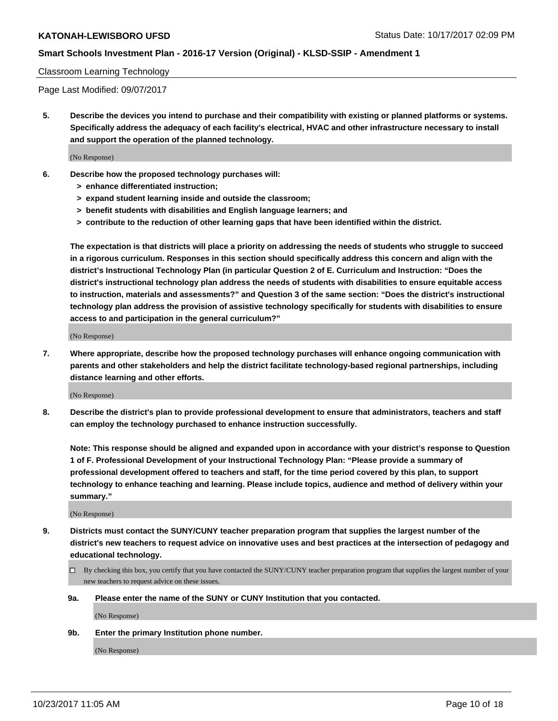#### Classroom Learning Technology

Page Last Modified: 09/07/2017

**5. Describe the devices you intend to purchase and their compatibility with existing or planned platforms or systems. Specifically address the adequacy of each facility's electrical, HVAC and other infrastructure necessary to install and support the operation of the planned technology.**

(No Response)

- **6. Describe how the proposed technology purchases will:**
	- **> enhance differentiated instruction;**
	- **> expand student learning inside and outside the classroom;**
	- **> benefit students with disabilities and English language learners; and**
	- **> contribute to the reduction of other learning gaps that have been identified within the district.**

**The expectation is that districts will place a priority on addressing the needs of students who struggle to succeed in a rigorous curriculum. Responses in this section should specifically address this concern and align with the district's Instructional Technology Plan (in particular Question 2 of E. Curriculum and Instruction: "Does the district's instructional technology plan address the needs of students with disabilities to ensure equitable access to instruction, materials and assessments?" and Question 3 of the same section: "Does the district's instructional technology plan address the provision of assistive technology specifically for students with disabilities to ensure access to and participation in the general curriculum?"**

(No Response)

**7. Where appropriate, describe how the proposed technology purchases will enhance ongoing communication with parents and other stakeholders and help the district facilitate technology-based regional partnerships, including distance learning and other efforts.**

(No Response)

**8. Describe the district's plan to provide professional development to ensure that administrators, teachers and staff can employ the technology purchased to enhance instruction successfully.**

**Note: This response should be aligned and expanded upon in accordance with your district's response to Question 1 of F. Professional Development of your Instructional Technology Plan: "Please provide a summary of professional development offered to teachers and staff, for the time period covered by this plan, to support technology to enhance teaching and learning. Please include topics, audience and method of delivery within your summary."**

(No Response)

- **9. Districts must contact the SUNY/CUNY teacher preparation program that supplies the largest number of the district's new teachers to request advice on innovative uses and best practices at the intersection of pedagogy and educational technology.**
	- By checking this box, you certify that you have contacted the SUNY/CUNY teacher preparation program that supplies the largest number of your new teachers to request advice on these issues.
	- **9a. Please enter the name of the SUNY or CUNY Institution that you contacted.**

(No Response)

**9b. Enter the primary Institution phone number.**

(No Response)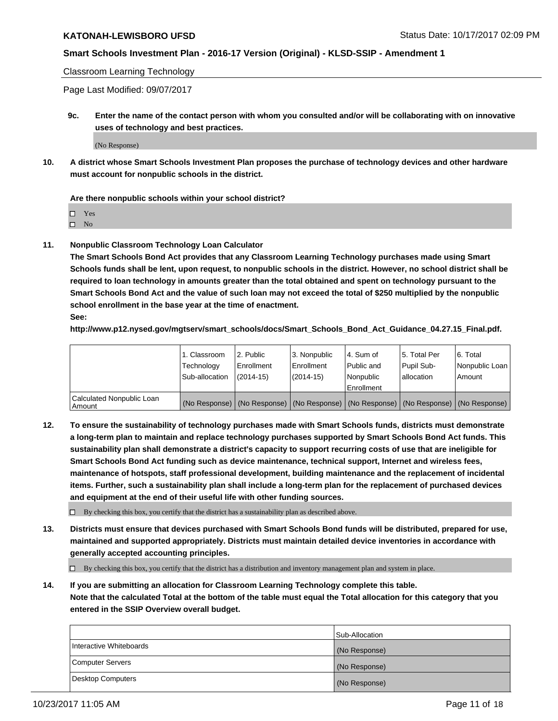#### Classroom Learning Technology

Page Last Modified: 09/07/2017

**9c. Enter the name of the contact person with whom you consulted and/or will be collaborating with on innovative uses of technology and best practices.**

(No Response)

**10. A district whose Smart Schools Investment Plan proposes the purchase of technology devices and other hardware must account for nonpublic schools in the district.**

**Are there nonpublic schools within your school district?**

Yes

 $\square$  No

**11. Nonpublic Classroom Technology Loan Calculator**

**The Smart Schools Bond Act provides that any Classroom Learning Technology purchases made using Smart Schools funds shall be lent, upon request, to nonpublic schools in the district. However, no school district shall be required to loan technology in amounts greater than the total obtained and spent on technology pursuant to the Smart Schools Bond Act and the value of such loan may not exceed the total of \$250 multiplied by the nonpublic school enrollment in the base year at the time of enactment.**

**See:**

**http://www.p12.nysed.gov/mgtserv/smart\_schools/docs/Smart\_Schools\_Bond\_Act\_Guidance\_04.27.15\_Final.pdf.**

|                                       | 1. Classroom   | l 2. Public   | 3. Nonpublic | l 4. Sum of | 15. Total Per                                                                                 | 6. Total       |
|---------------------------------------|----------------|---------------|--------------|-------------|-----------------------------------------------------------------------------------------------|----------------|
|                                       | Technology     | Enrollment    | Enrollment   | Public and  | Pupil Sub-                                                                                    | Nonpublic Loan |
|                                       | Sub-allocation | $(2014 - 15)$ | $(2014-15)$  | l Nonpublic | allocation                                                                                    | Amount         |
|                                       |                |               |              | Enrollment  |                                                                                               |                |
| Calculated Nonpublic Loan<br>  Amount |                |               |              |             | (No Response)   (No Response)   (No Response)   (No Response)   (No Response)   (No Response) |                |

**12. To ensure the sustainability of technology purchases made with Smart Schools funds, districts must demonstrate a long-term plan to maintain and replace technology purchases supported by Smart Schools Bond Act funds. This sustainability plan shall demonstrate a district's capacity to support recurring costs of use that are ineligible for Smart Schools Bond Act funding such as device maintenance, technical support, Internet and wireless fees, maintenance of hotspots, staff professional development, building maintenance and the replacement of incidental items. Further, such a sustainability plan shall include a long-term plan for the replacement of purchased devices and equipment at the end of their useful life with other funding sources.**

 $\Box$  By checking this box, you certify that the district has a sustainability plan as described above.

**13. Districts must ensure that devices purchased with Smart Schools Bond funds will be distributed, prepared for use, maintained and supported appropriately. Districts must maintain detailed device inventories in accordance with generally accepted accounting principles.**

By checking this box, you certify that the district has a distribution and inventory management plan and system in place.

**14. If you are submitting an allocation for Classroom Learning Technology complete this table. Note that the calculated Total at the bottom of the table must equal the Total allocation for this category that you entered in the SSIP Overview overall budget.**

|                         | Sub-Allocation |
|-------------------------|----------------|
| Interactive Whiteboards | (No Response)  |
| Computer Servers        | (No Response)  |
| Desktop Computers       | (No Response)  |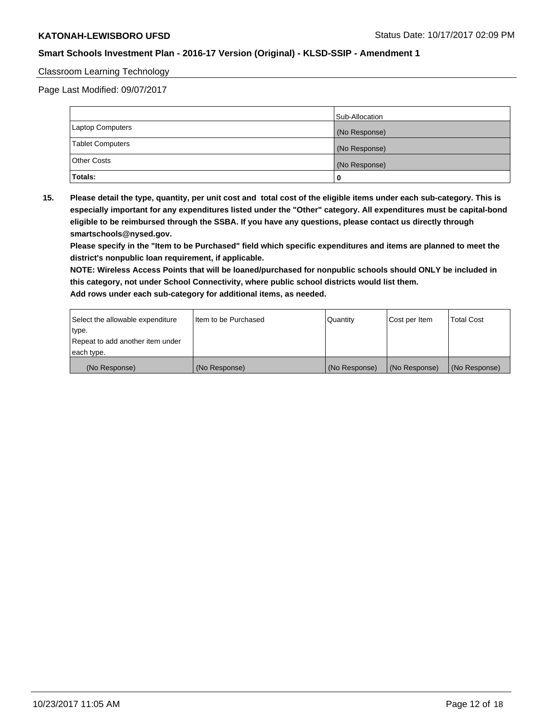### Classroom Learning Technology

Page Last Modified: 09/07/2017

|                         | Sub-Allocation |
|-------------------------|----------------|
| <b>Laptop Computers</b> | (No Response)  |
| <b>Tablet Computers</b> | (No Response)  |
| <b>Other Costs</b>      | (No Response)  |
| Totals:                 | 0              |

**15. Please detail the type, quantity, per unit cost and total cost of the eligible items under each sub-category. This is especially important for any expenditures listed under the "Other" category. All expenditures must be capital-bond eligible to be reimbursed through the SSBA. If you have any questions, please contact us directly through smartschools@nysed.gov.**

**Please specify in the "Item to be Purchased" field which specific expenditures and items are planned to meet the district's nonpublic loan requirement, if applicable.**

**NOTE: Wireless Access Points that will be loaned/purchased for nonpublic schools should ONLY be included in this category, not under School Connectivity, where public school districts would list them. Add rows under each sub-category for additional items, as needed.**

| Select the allowable expenditure | I Item to be Purchased | Quantity      | Cost per Item   | <b>Total Cost</b> |
|----------------------------------|------------------------|---------------|-----------------|-------------------|
| type.                            |                        |               |                 |                   |
| Repeat to add another item under |                        |               |                 |                   |
| each type.                       |                        |               |                 |                   |
| (No Response)                    | (No Response)          | (No Response) | l (No Response) | (No Response)     |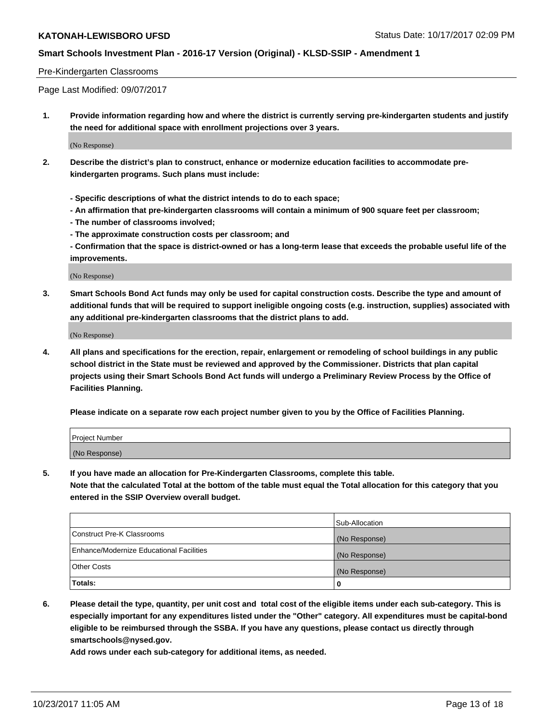#### Pre-Kindergarten Classrooms

Page Last Modified: 09/07/2017

**1. Provide information regarding how and where the district is currently serving pre-kindergarten students and justify the need for additional space with enrollment projections over 3 years.**

(No Response)

- **2. Describe the district's plan to construct, enhance or modernize education facilities to accommodate prekindergarten programs. Such plans must include:**
	- **Specific descriptions of what the district intends to do to each space;**
	- **An affirmation that pre-kindergarten classrooms will contain a minimum of 900 square feet per classroom;**
	- **The number of classrooms involved;**
	- **The approximate construction costs per classroom; and**

**- Confirmation that the space is district-owned or has a long-term lease that exceeds the probable useful life of the improvements.**

(No Response)

**3. Smart Schools Bond Act funds may only be used for capital construction costs. Describe the type and amount of additional funds that will be required to support ineligible ongoing costs (e.g. instruction, supplies) associated with any additional pre-kindergarten classrooms that the district plans to add.**

(No Response)

**4. All plans and specifications for the erection, repair, enlargement or remodeling of school buildings in any public school district in the State must be reviewed and approved by the Commissioner. Districts that plan capital projects using their Smart Schools Bond Act funds will undergo a Preliminary Review Process by the Office of Facilities Planning.**

**Please indicate on a separate row each project number given to you by the Office of Facilities Planning.**

| Project Number |  |
|----------------|--|
| (No Response)  |  |

**5. If you have made an allocation for Pre-Kindergarten Classrooms, complete this table.**

**Note that the calculated Total at the bottom of the table must equal the Total allocation for this category that you entered in the SSIP Overview overall budget.**

|                                          | Sub-Allocation |
|------------------------------------------|----------------|
| Construct Pre-K Classrooms               | (No Response)  |
| Enhance/Modernize Educational Facilities | (No Response)  |
| <b>Other Costs</b>                       | (No Response)  |
| <b>Totals:</b>                           | 0              |

**6. Please detail the type, quantity, per unit cost and total cost of the eligible items under each sub-category. This is especially important for any expenditures listed under the "Other" category. All expenditures must be capital-bond eligible to be reimbursed through the SSBA. If you have any questions, please contact us directly through smartschools@nysed.gov.**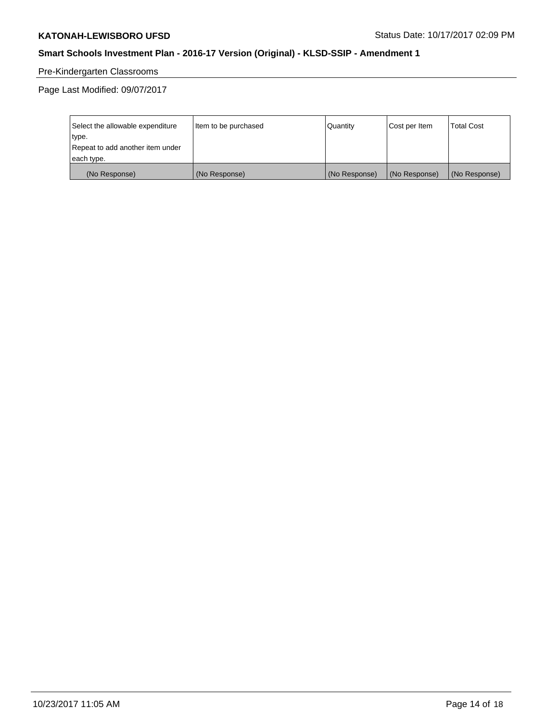# Pre-Kindergarten Classrooms

Page Last Modified: 09/07/2017

| Select the allowable expenditure | Item to be purchased | Quantity      | Cost per Item | <b>Total Cost</b> |
|----------------------------------|----------------------|---------------|---------------|-------------------|
| type.                            |                      |               |               |                   |
| Repeat to add another item under |                      |               |               |                   |
| each type.                       |                      |               |               |                   |
| (No Response)                    | (No Response)        | (No Response) | (No Response) | (No Response)     |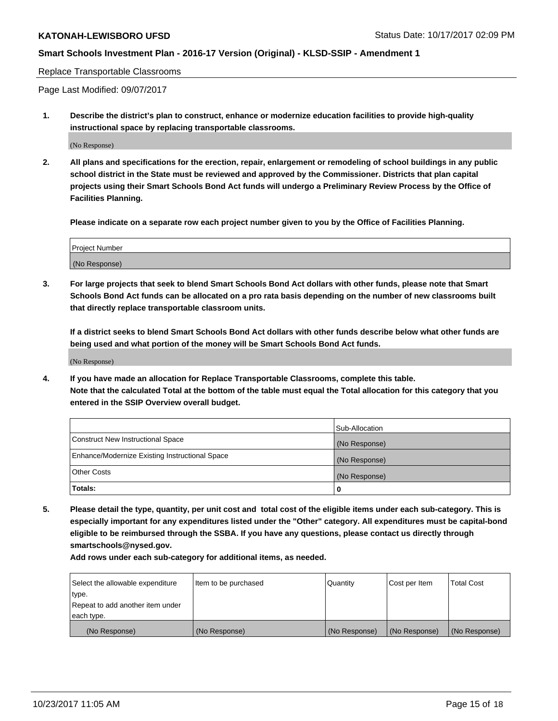Replace Transportable Classrooms

Page Last Modified: 09/07/2017

**1. Describe the district's plan to construct, enhance or modernize education facilities to provide high-quality instructional space by replacing transportable classrooms.**

(No Response)

**2. All plans and specifications for the erection, repair, enlargement or remodeling of school buildings in any public school district in the State must be reviewed and approved by the Commissioner. Districts that plan capital projects using their Smart Schools Bond Act funds will undergo a Preliminary Review Process by the Office of Facilities Planning.**

**Please indicate on a separate row each project number given to you by the Office of Facilities Planning.**

| <b>Project Number</b> |  |
|-----------------------|--|
| (No Response)         |  |

**3. For large projects that seek to blend Smart Schools Bond Act dollars with other funds, please note that Smart Schools Bond Act funds can be allocated on a pro rata basis depending on the number of new classrooms built that directly replace transportable classroom units.**

**If a district seeks to blend Smart Schools Bond Act dollars with other funds describe below what other funds are being used and what portion of the money will be Smart Schools Bond Act funds.**

(No Response)

**4. If you have made an allocation for Replace Transportable Classrooms, complete this table. Note that the calculated Total at the bottom of the table must equal the Total allocation for this category that you entered in the SSIP Overview overall budget.**

|                                                | Sub-Allocation |
|------------------------------------------------|----------------|
| Construct New Instructional Space              | (No Response)  |
| Enhance/Modernize Existing Instructional Space | (No Response)  |
| <b>Other Costs</b>                             | (No Response)  |
| Totals:                                        | 0              |

**5. Please detail the type, quantity, per unit cost and total cost of the eligible items under each sub-category. This is especially important for any expenditures listed under the "Other" category. All expenditures must be capital-bond eligible to be reimbursed through the SSBA. If you have any questions, please contact us directly through smartschools@nysed.gov.**

| Select the allowable expenditure<br>type.<br>Repeat to add another item under<br>each type. | Item to be purchased | Quantity      | Cost per Item | <b>Total Cost</b> |
|---------------------------------------------------------------------------------------------|----------------------|---------------|---------------|-------------------|
|                                                                                             |                      |               |               |                   |
| (No Response)                                                                               | (No Response)        | (No Response) | (No Response) | (No Response)     |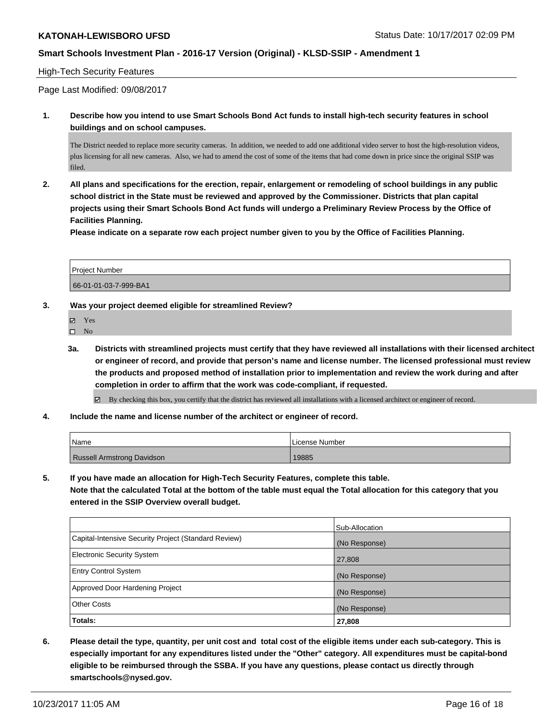#### High-Tech Security Features

Page Last Modified: 09/08/2017

**1. Describe how you intend to use Smart Schools Bond Act funds to install high-tech security features in school buildings and on school campuses.**

The District needed to replace more security cameras. In addition, we needed to add one additional video server to host the high-resolution videos, plus licensing for all new cameras. Also, we had to amend the cost of some of the items that had come down in price since the original SSIP was filed.

**2. All plans and specifications for the erection, repair, enlargement or remodeling of school buildings in any public school district in the State must be reviewed and approved by the Commissioner. Districts that plan capital projects using their Smart Schools Bond Act funds will undergo a Preliminary Review Process by the Office of Facilities Planning.** 

**Please indicate on a separate row each project number given to you by the Office of Facilities Planning.**

| <b>Project Number</b> |  |
|-----------------------|--|
| 66-01-01-03-7-999-BA1 |  |

#### **3. Was your project deemed eligible for streamlined Review?**

| ₩ | ۰ |  |
|---|---|--|
|   |   |  |

- $\hfill \square$  No
- **3a. Districts with streamlined projects must certify that they have reviewed all installations with their licensed architect or engineer of record, and provide that person's name and license number. The licensed professional must review the products and proposed method of installation prior to implementation and review the work during and after completion in order to affirm that the work was code-compliant, if requested.**

By checking this box, you certify that the district has reviewed all installations with a licensed architect or engineer of record.

**4. Include the name and license number of the architect or engineer of record.**

| 'Name                      | License Number |
|----------------------------|----------------|
| Russell Armstrong Davidson | 19885          |

**5. If you have made an allocation for High-Tech Security Features, complete this table.**

**Note that the calculated Total at the bottom of the table must equal the Total allocation for this category that you entered in the SSIP Overview overall budget.**

|                                                      | Sub-Allocation |
|------------------------------------------------------|----------------|
| Capital-Intensive Security Project (Standard Review) | (No Response)  |
| <b>Electronic Security System</b>                    | 27,808         |
| <b>Entry Control System</b>                          | (No Response)  |
| Approved Door Hardening Project                      | (No Response)  |
| <b>Other Costs</b>                                   | (No Response)  |
| Totals:                                              | 27,808         |

**6. Please detail the type, quantity, per unit cost and total cost of the eligible items under each sub-category. This is especially important for any expenditures listed under the "Other" category. All expenditures must be capital-bond eligible to be reimbursed through the SSBA. If you have any questions, please contact us directly through smartschools@nysed.gov.**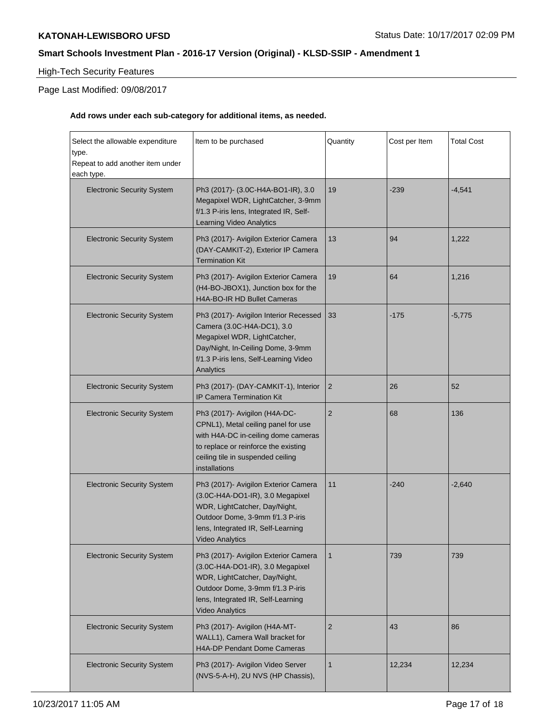# High-Tech Security Features

# Page Last Modified: 09/08/2017

| Select the allowable expenditure<br>type.<br>Repeat to add another item under<br>each type. | Item to be purchased                                                                                                                                                                                          | Quantity       | Cost per Item | <b>Total Cost</b> |
|---------------------------------------------------------------------------------------------|---------------------------------------------------------------------------------------------------------------------------------------------------------------------------------------------------------------|----------------|---------------|-------------------|
| <b>Electronic Security System</b>                                                           | Ph3 (2017)- (3.0C-H4A-BO1-IR), 3.0<br>Megapixel WDR, LightCatcher, 3-9mm<br>f/1.3 P-iris lens, Integrated IR, Self-<br>Learning Video Analytics                                                               | 19             | $-239$        | $-4,541$          |
| <b>Electronic Security System</b>                                                           | Ph3 (2017)- Avigilon Exterior Camera<br>(DAY-CAMKIT-2), Exterior IP Camera<br><b>Termination Kit</b>                                                                                                          | 13             | 94            | 1,222             |
| <b>Electronic Security System</b>                                                           | Ph3 (2017)- Avigilon Exterior Camera<br>(H4-BO-JBOX1), Junction box for the<br>H4A-BO-IR HD Bullet Cameras                                                                                                    | 19             | 64            | 1,216             |
| <b>Electronic Security System</b>                                                           | Ph3 (2017)- Avigilon Interior Recessed<br>Camera (3.0C-H4A-DC1), 3.0<br>Megapixel WDR, LightCatcher,<br>Day/Night, In-Ceiling Dome, 3-9mm<br>f/1.3 P-iris lens, Self-Learning Video<br>Analytics              | 33             | $-175$        | $-5,775$          |
| <b>Electronic Security System</b>                                                           | Ph3 (2017)- (DAY-CAMKIT-1), Interior<br><b>IP Camera Termination Kit</b>                                                                                                                                      | $\overline{2}$ | 26            | 52                |
| <b>Electronic Security System</b>                                                           | Ph3 (2017)- Avigilon (H4A-DC-<br>CPNL1), Metal ceiling panel for use<br>with H4A-DC in-ceiling dome cameras<br>to replace or reinforce the existing<br>ceiling tile in suspended ceiling<br>installations     | 2              | 68            | 136               |
| <b>Electronic Security System</b>                                                           | Ph3 (2017)- Avigilon Exterior Camera<br>(3.0C-H4A-DO1-IR), 3.0 Megapixel<br>WDR, LightCatcher, Day/Night,<br>Outdoor Dome, 3-9mm f/1.3 P-iris<br>lens, Integrated IR, Self-Learning<br><b>Video Analytics</b> | 11             | $-240$        | $-2,640$          |
| <b>Electronic Security System</b>                                                           | Ph3 (2017)- Avigilon Exterior Camera<br>(3.0C-H4A-DO1-IR), 3.0 Megapixel<br>WDR, LightCatcher, Day/Night,<br>Outdoor Dome, 3-9mm f/1.3 P-iris<br>lens, Integrated IR, Self-Learning<br><b>Video Analytics</b> | $\mathbf{1}$   | 739           | 739               |
| <b>Electronic Security System</b>                                                           | Ph3 (2017)- Avigilon (H4A-MT-<br>WALL1), Camera Wall bracket for<br><b>H4A-DP Pendant Dome Cameras</b>                                                                                                        | $\overline{2}$ | 43            | 86                |
| <b>Electronic Security System</b>                                                           | Ph3 (2017)- Avigilon Video Server<br>(NVS-5-A-H), 2U NVS (HP Chassis),                                                                                                                                        | $\mathbf 1$    | 12,234        | 12,234            |